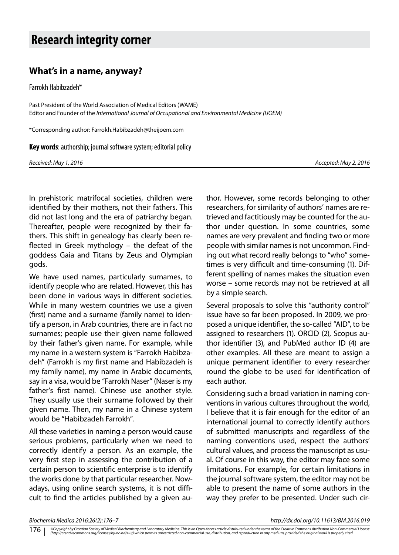## **Research integrity corner**

## **What's in a name, anyway?**

Farrokh Habibzadeh\*

Past President of the World Association of Medical Editors (WAME) Editor and Founder of the *International Journal of Occupational and Environmental Medicine (IJOEM)*

\*Corresponding author: Farrokh.Habibzadeh@theijoem.com

**Key words**: authorship; journal software system; editorial policy

*Received: May 1, 2016 Accepted: May 2, 2016*

In prehistoric matrifocal societies, children were identified by their mothers, not their fathers. This did not last long and the era of patriarchy began. Thereafter, people were recognized by their fathers. This shift in genealogy has clearly been reflected in Greek mythology – the defeat of the goddess Gaia and Titans by Zeus and Olympian gods.

We have used names, particularly surnames, to identify people who are related. However, this has been done in various ways in different societies. While in many western countries we use a given (first) name and a surname (family name) to identify a person, in Arab countries, there are in fact no surnames; people use their given name followed by their father's given name. For example, while my name in a western system is "Farrokh Habibzadeh" (Farrokh is my first name and Habibzadeh is my family name), my name in Arabic documents, say in a visa, would be "Farrokh Naser" (Naser is my father's first name). Chinese use another style. They usually use their surname followed by their given name. Then, my name in a Chinese system would be "Habibzadeh Farrokh".

All these varieties in naming a person would cause serious problems, particularly when we need to correctly identify a person. As an example, the very first step in assessing the contribution of a certain person to scientific enterprise is to identify the works done by that particular researcher. Nowadays, using online search systems, it is not difficult to find the articles published by a given author. However, some records belonging to other researchers, for similarity of authors' names are retrieved and factitiously may be counted for the author under question. In some countries, some names are very prevalent and finding two or more people with similar names is not uncommon. Finding out what record really belongs to "who" sometimes is very difficult and time-consuming (1). Different spelling of names makes the situation even worse – some records may not be retrieved at all by a simple search.

Several proposals to solve this "authority control" issue have so far been proposed. In 2009, we proposed a unique identifier, the so-called "AID", to be assigned to researchers (1). ORCID (2), Scopus author identifier (3), and PubMed author ID (4) are other examples. All these are meant to assign a unique permanent identifier to every researcher round the globe to be used for identification of each author.

Considering such a broad variation in naming conventions in various cultures throughout the world, I believe that it is fair enough for the editor of an international journal to correctly identify authors of submitted manuscripts and regardless of the naming conventions used, respect the authors' cultural values, and process the manuscript as usual. Of course in this way, the editor may face some limitations. For example, for certain limitations in the journal software system, the editor may not be able to present the name of some authors in the way they prefer to be presented. Under such cir-

*Biochemia Medica 2016;26(2):176–7 http://dx.doi.org/10.11613/BM.2016.019*

<sup>©</sup>Copyright by Croatian Society of Medical Biochemistry and Laboratory Medicine. This is an Open Access article distributed under the terms of the Creative Commons Attribution Non-Commercial License<br>(http://creativecommons. 176